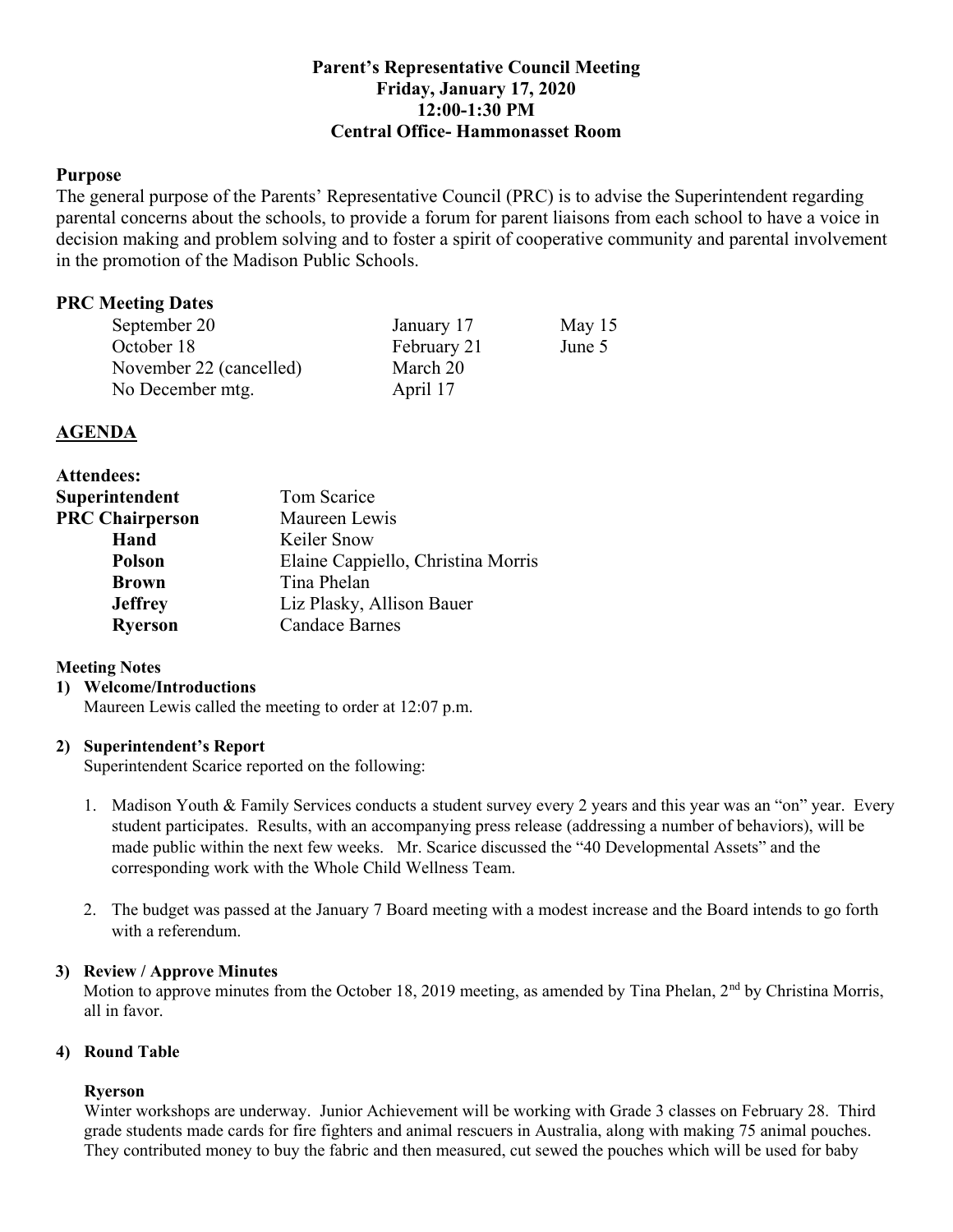# **Parent's Representative Council Meeting Friday, January 17, 2020 12:00-1:30 PM Central Office- Hammonasset Room**

# **Purpose**

The general purpose of the Parents' Representative Council (PRC) is to advise the Superintendent regarding parental concerns about the schools, to provide a forum for parent liaisons from each school to have a voice in decision making and problem solving and to foster a spirit of cooperative community and parental involvement in the promotion of the Madison Public Schools.

# **PRC Meeting Dates**

| September 20            | January 17  | May $15$ |
|-------------------------|-------------|----------|
| October 18              | February 21 | June 5   |
| November 22 (cancelled) | March 20    |          |
| No December mtg.        | April 17    |          |

# **AGENDA**

| <b>Attendees:</b>      |                                    |  |
|------------------------|------------------------------------|--|
| Superintendent         | Tom Scarice                        |  |
| <b>PRC Chairperson</b> | Maureen Lewis                      |  |
| Hand                   | Keiler Snow                        |  |
| <b>Polson</b>          | Elaine Cappiello, Christina Morris |  |
| <b>Brown</b>           | Tina Phelan                        |  |
| <b>Jeffrey</b>         | Liz Plasky, Allison Bauer          |  |
| <b>Ryerson</b>         | <b>Candace Barnes</b>              |  |

# **Meeting Notes**

#### **1) Welcome/Introductions**

Maureen Lewis called the meeting to order at 12:07 p.m.

## **2) Superintendent's Report**

Superintendent Scarice reported on the following:

- 1. Madison Youth & Family Services conducts a student survey every 2 years and this year was an "on" year. Every student participates. Results, with an accompanying press release (addressing a number of behaviors), will be made public within the next few weeks. Mr. Scarice discussed the "40 Developmental Assets" and the corresponding work with the Whole Child Wellness Team.
- 2. The budget was passed at the January 7 Board meeting with a modest increase and the Board intends to go forth with a referendum.

#### **3) Review / Approve Minutes**

Motion to approve minutes from the October 18, 2019 meeting, as amended by Tina Phelan, 2<sup>nd</sup> by Christina Morris, all in favor.

## **4) Round Table**

## **Ryerson**

Winter workshops are underway. Junior Achievement will be working with Grade 3 classes on February 28. Third grade students made cards for fire fighters and animal rescuers in Australia, along with making 75 animal pouches. They contributed money to buy the fabric and then measured, cut sewed the pouches which will be used for baby